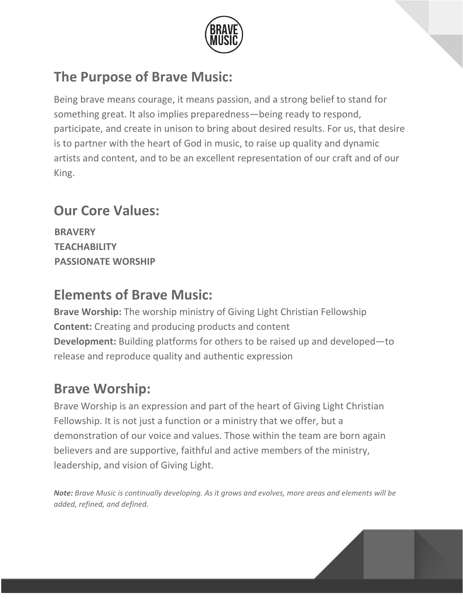

# **The Purpose of Brave Music:**

Being brave means courage, it means passion, and a strong belief to stand for something great. It also implies preparedness—being ready to respond, participate, and create in unison to bring about desired results. For us, that desire is to partner with the heart of God in music, to raise up quality and dynamic artists and content, and to be an excellent representation of our craft and of our King.

# **Our Core Values:**

**BRAVERY TEACHABILITY PASSIONATE WORSHIP**

# **Elements of Brave Music:**

**Brave Worship:** The worship ministry of Giving Light Christian Fellowship **Content:** Creating and producing products and content **Development:** Building platforms for others to be raised up and developed—to release and reproduce quality and authentic expression

# **Brave Worship:**

Brave Worship is an expression and part of the heart of Giving Light Christian Fellowship. It is not just a function or a ministry that we offer, but a demonstration of our voice and values. Those within the team are born again believers and are supportive, faithful and active members of the ministry, leadership, and vision of Giving Light.

*Note: Brave Music is continually developing. As it grows and evolves, more areas and elements will be added, refined, and defined.*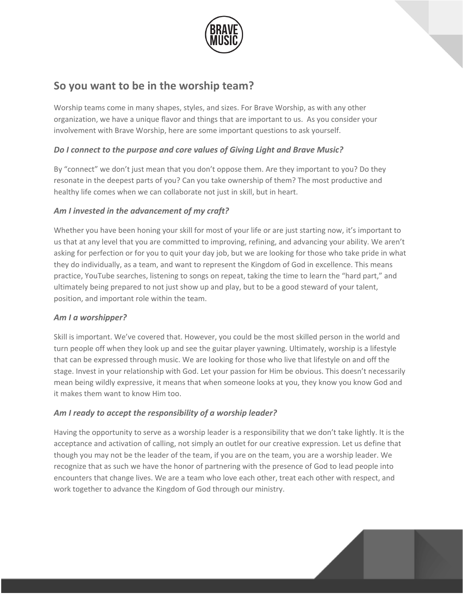

### **So you want to be in the worship team?**

Worship teams come in many shapes, styles, and sizes. For Brave Worship, as with any other organization, we have a unique flavor and things that are important to us. As you consider your involvement with Brave Worship, here are some important questions to ask yourself.

#### *Do I connect to the purpose and core values of Giving Light and Brave Music?*

By "connect" we don't just mean that you don't oppose them. Are they important to you? Do they resonate in the deepest parts of you? Can you take ownership of them? The most productive and healthy life comes when we can collaborate not just in skill, but in heart.

#### *Am I invested in the advancement of my craft?*

Whether you have been honing your skill for most of your life or are just starting now, it's important to us that at any level that you are committed to improving, refining, and advancing your ability. We aren't asking for perfection or for you to quit your day job, but we are looking for those who take pride in what they do individually, as a team, and want to represent the Kingdom of God in excellence. This means practice, YouTube searches, listening to songs on repeat, taking the time to learn the "hard part," and ultimately being prepared to not just show up and play, but to be a good steward of your talent, position, and important role within the team.

#### *Am I a worshipper?*

Skill is important. We've covered that. However, you could be the most skilled person in the world and turn people off when they look up and see the guitar player yawning. Ultimately, worship is a lifestyle that can be expressed through music. We are looking for those who live that lifestyle on and off the stage. Invest in your relationship with God. Let your passion for Him be obvious. This doesn't necessarily mean being wildly expressive, it means that when someone looks at you, they know you know God and it makes them want to know Him too.

#### *Am I ready to accept the responsibility of a worship leader?*

Having the opportunity to serve as a worship leader is a responsibility that we don't take lightly. It is the acceptance and activation of calling, not simply an outlet for our creative expression. Let us define that though you may not be the leader of the team, if you are on the team, you are a worship leader. We recognize that as such we have the honor of partnering with the presence of God to lead people into encounters that change lives. We are a team who love each other, treat each other with respect, and work together to advance the Kingdom of God through our ministry.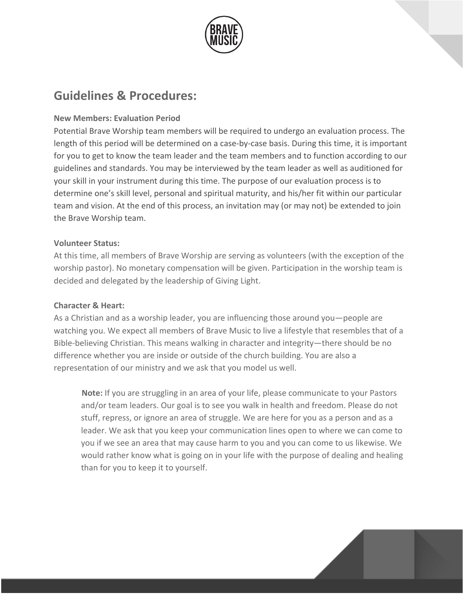

### **Guidelines & Procedures:**

#### **New Members: Evaluation Period**

Potential Brave Worship team members will be required to undergo an evaluation process. The length of this period will be determined on a case-by-case basis. During this time, it is important for you to get to know the team leader and the team members and to function according to our guidelines and standards. You may be interviewed by the team leader as well as auditioned for your skill in your instrument during this time. The purpose of our evaluation process is to determine one's skill level, personal and spiritual maturity, and his/her fit within our particular team and vision. At the end of this process, an invitation may (or may not) be extended to join the Brave Worship team.

#### **Volunteer Status:**

At this time, all members of Brave Worship are serving as volunteers (with the exception of the worship pastor). No monetary compensation will be given. Participation in the worship team is decided and delegated by the leadership of Giving Light.

#### **Character & Heart:**

As a Christian and as a worship leader, you are influencing those around you—people are watching you. We expect all members of Brave Music to live a lifestyle that resembles that of a Bible-believing Christian. This means walking in character and integrity—there should be no difference whether you are inside or outside of the church building. You are also a representation of our ministry and we ask that you model us well.

**Note:** If you are struggling in an area of your life, please communicate to your Pastors and/or team leaders. Our goal is to see you walk in health and freedom. Please do not stuff, repress, or ignore an area of struggle. We are here for you as a person and as a leader. We ask that you keep your communication lines open to where we can come to you if we see an area that may cause harm to you and you can come to us likewise. We would rather know what is going on in your life with the purpose of dealing and healing than for you to keep it to yourself.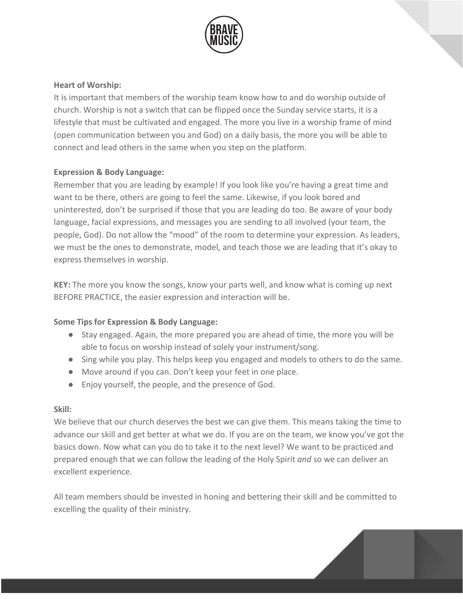

#### **Heart of Worship:**

It is important that members of the worship team know how to and do worship outside of church. Worship is not a switch that can be flipped once the Sunday service starts, it is a lifestyle that must be cultivated and engaged. The more you live in a worship frame of mind (open communication between you and God) on a daily basis, the more you will be able to connect and lead others in the same when you step on the platform.

#### **Expression & Body Language:**

Remember that you are leading by example! If you look like you're having a great time and want to be there, others are going to feel the same. Likewise, if you look bored and uninterested, don't be surprised if those that you are leading do too. Be aware of your body language, facial expressions, and messages you are sending to all involved (your team, the people, God). Do not allow the "mood" of the room to determine your expression. As leaders, we must be the ones to demonstrate, model, and teach those we are leading that it's okay to express themselves in worship.

**KEY:** The more you know the songs, know your parts well, and know what is coming up next BEFORE PRACTICE, the easier expression and interaction will be.

#### **Some Tips for Expression & Body Language:**

- Stay engaged. Again, the more prepared you are ahead of time, the more you will be able to focus on worship instead of solely your instrument/song.
- Sing while you play. This helps keep you engaged and models to others to do the same.
- Move around if you can. Don't keep your feet in one place.
- Enjoy yourself, the people, and the presence of God.

#### **Skill:**

We believe that our church deserves the best we can give them. This means taking the time to advance our skill and get better at what we do. If you are on the team, we know you've got the basics down. Now what can you do to take it to the next level? We want to be practiced and prepared enough that we can follow the leading of the Holy Spirit *and* so we can deliver an excellent experience.

All team members should be invested in honing and bettering their skill and be committed to excelling the quality of their ministry.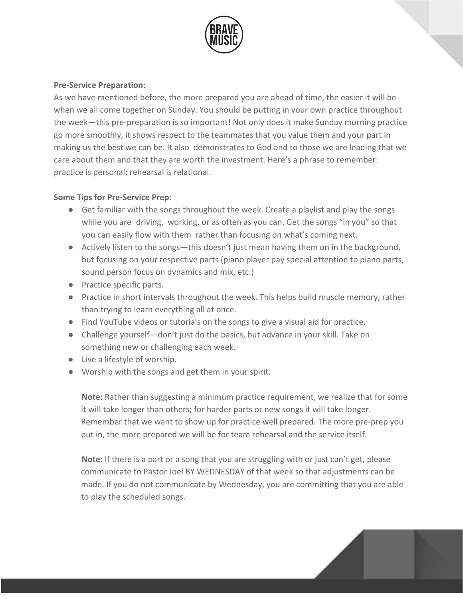

#### **Pre-Service Preparation:**

As we have mentioned before, the more prepared you are ahead of time, the easier it will be when we all come together on Sunday. You should be putting in your own practice throughout the week—this pre-preparation is so important! Not only does it make Sunday morning practice go more smoothly, it shows respect to the teammates that you value them and your part in making us the best we can be. It also demonstrates to God and to those we are leading that we care about them and that they are worth the investment. Here's a phrase to remember: practice is personal; rehearsal is relational.

#### **Some Tips for Pre-Service Prep:**

- Get familiar with the songs throughout the week. Create a playlist and play the songs while you are driving, working, or as often as you can. Get the songs "in you" so that you can easily flow with them rather than focusing on what's coming next.
- Actively listen to the songs—this doesn't just mean having them on in the background, but focusing on your respective parts (piano player pay special attention to piano parts, sound person focus on dynamics and mix, etc.)
- Practice specific parts.
- Practice in short intervals throughout the week. This helps build muscle memory, rather than trying to learn everything all at once.
- Find YouTube videos or tutorials on the songs to give a visual aid for practice.
- Challenge yourself—don't just do the basics, but advance in your skill. Take on something new or challenging each week.
- Live a lifestyle of worship.
- Worship with the songs and get them in your spirit.

**Note:** Rather than suggesting a minimum practice requirement, we realize that for some it will take longer than others; for harder parts or new songs it will take longer. Remember that we want to show up for practice well prepared. The more pre-prep you put in, the more prepared we will be for team rehearsal and the service itself.

**Note:** If there is a part or a song that you are struggling with or just can't get, please communicate to Pastor Joel BY WEDNESDAY of that week so that adjustments can be made. If you do not communicate by Wednesday, you are committing that you are able to play the scheduled songs.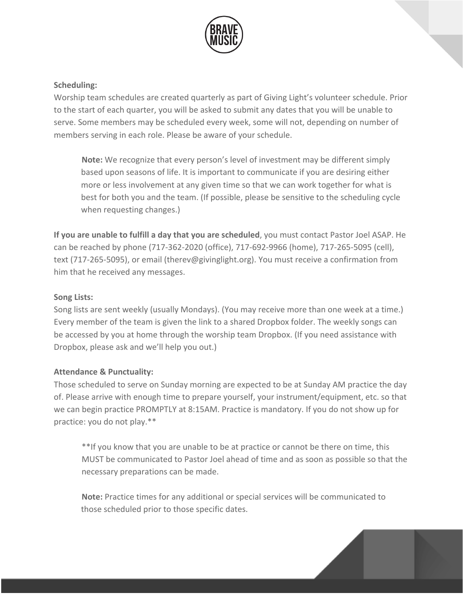

#### **Scheduling:**

Worship team schedules are created quarterly as part of Giving Light's volunteer schedule. Prior to the start of each quarter, you will be asked to submit any dates that you will be unable to serve. Some members may be scheduled every week, some will not, depending on number of members serving in each role. Please be aware of your schedule.

**Note:** We recognize that every person's level of investment may be different simply based upon seasons of life. It is important to communicate if you are desiring either more or less involvement at any given time so that we can work together for what is best for both you and the team. (If possible, please be sensitive to the scheduling cycle when requesting changes.)

**If you are unable to fulfill a day that you are scheduled**, you must contact Pastor Joel ASAP. He can be reached by phone (717-362-2020 (office), 717-692-9966 (home), 717-265-5095 (cell), text (717-265-5095), or email (therev@givinglight.org). You must receive a confirmation from him that he received any messages.

#### **Song Lists:**

Song lists are sent weekly (usually Mondays). (You may receive more than one week at a time.) Every member of the team is given the link to a shared Dropbox folder. The weekly songs can be accessed by you at home through the worship team Dropbox. (If you need assistance with Dropbox, please ask and we'll help you out.)

#### **Attendance & Punctuality:**

Those scheduled to serve on Sunday morning are expected to be at Sunday AM practice the day of. Please arrive with enough time to prepare yourself, your instrument/equipment, etc. so that we can begin practice PROMPTLY at 8:15AM. Practice is mandatory. If you do not show up for practice: you do not play.\*\*

\*\*If you know that you are unable to be at practice or cannot be there on time, this MUST be communicated to Pastor Joel ahead of time and as soon as possible so that the necessary preparations can be made.

**Note:** Practice times for any additional or special services will be communicated to those scheduled prior to those specific dates.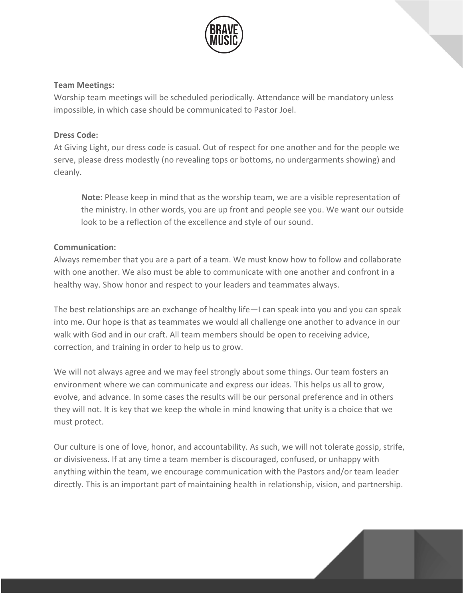

#### **Team Meetings:**

Worship team meetings will be scheduled periodically. Attendance will be mandatory unless impossible, in which case should be communicated to Pastor Joel.

#### **Dress Code:**

At Giving Light, our dress code is casual. Out of respect for one another and for the people we serve, please dress modestly (no revealing tops or bottoms, no undergarments showing) and cleanly.

**Note:** Please keep in mind that as the worship team, we are a visible representation of the ministry. In other words, you are up front and people see you. We want our outside look to be a reflection of the excellence and style of our sound.

#### **Communication:**

Always remember that you are a part of a team. We must know how to follow and collaborate with one another. We also must be able to communicate with one another and confront in a healthy way. Show honor and respect to your leaders and teammates always.

The best relationships are an exchange of healthy life—I can speak into you and you can speak into me. Our hope is that as teammates we would all challenge one another to advance in our walk with God and in our craft. All team members should be open to receiving advice, correction, and training in order to help us to grow.

We will not always agree and we may feel strongly about some things. Our team fosters an environment where we can communicate and express our ideas. This helps us all to grow, evolve, and advance. In some cases the results will be our personal preference and in others they will not. It is key that we keep the whole in mind knowing that unity is a choice that we must protect.

Our culture is one of love, honor, and accountability. As such, we will not tolerate gossip, strife, or divisiveness. If at any time a team member is discouraged, confused, or unhappy with anything within the team, we encourage communication with the Pastors and/or team leader directly. This is an important part of maintaining health in relationship, vision, and partnership.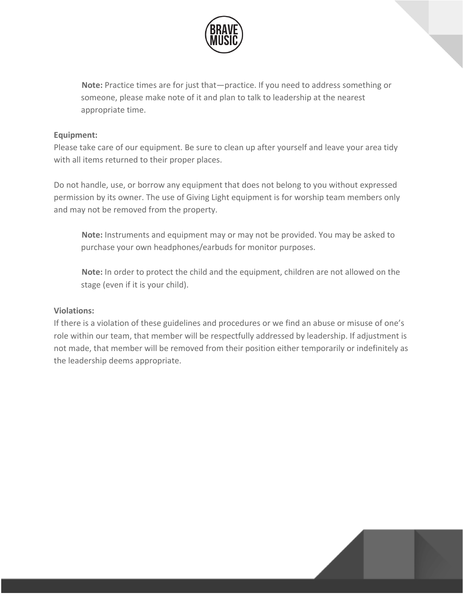

**Note:** Practice times are for just that—practice. If you need to address something or someone, please make note of it and plan to talk to leadership at the nearest appropriate time.

#### **Equipment:**

Please take care of our equipment. Be sure to clean up after yourself and leave your area tidy with all items returned to their proper places.

Do not handle, use, or borrow any equipment that does not belong to you without expressed permission by its owner. The use of Giving Light equipment is for worship team members only and may not be removed from the property.

**Note:** Instruments and equipment may or may not be provided. You may be asked to purchase your own headphones/earbuds for monitor purposes.

**Note:** In order to protect the child and the equipment, children are not allowed on the stage (even if it is your child).

#### **Violations:**

If there is a violation of these guidelines and procedures or we find an abuse or misuse of one's role within our team, that member will be respectfully addressed by leadership. If adjustment is not made, that member will be removed from their position either temporarily or indefinitely as the leadership deems appropriate.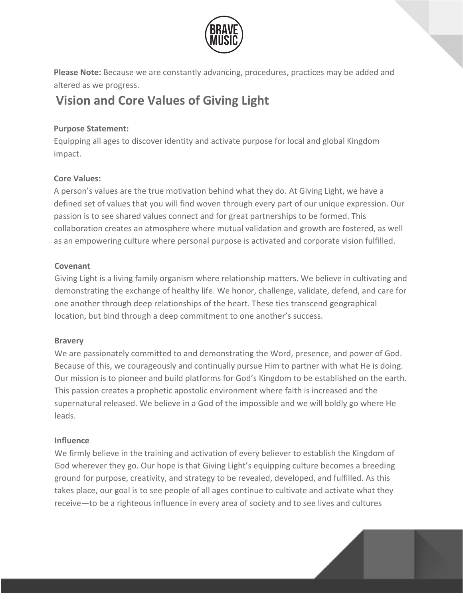

**Please Note:** Because we are constantly advancing, procedures, practices may be added and altered as we progress.

## **Vision and Core Values of Giving Light**

#### **Purpose Statement:**

Equipping all ages to discover identity and activate purpose for local and global Kingdom impact.

### **Core Values:**

A person's values are the true motivation behind what they do. At Giving Light, we have a defined set of values that you will find woven through every part of our unique expression. Our passion is to see shared values connect and for great partnerships to be formed. This collaboration creates an atmosphere where mutual validation and growth are fostered, as well as an empowering culture where personal purpose is activated and corporate vision fulfilled.

### **Covenant**

Giving Light is a living family organism where relationship matters. We believe in cultivating and demonstrating the exchange of healthy life. We honor, challenge, validate, defend, and care for one another through deep relationships of the heart. These ties transcend geographical location, but bind through a deep commitment to one another's success.

#### **Bravery**

We are passionately committed to and demonstrating the Word, presence, and power of God. Because of this, we courageously and continually pursue Him to partner with what He is doing. Our mission is to pioneer and build platforms for God's Kingdom to be established on the earth. This passion creates a prophetic apostolic environment where faith is increased and the supernatural released. We believe in a God of the impossible and we will boldly go where He leads.

### **Influence**

We firmly believe in the training and activation of every believer to establish the Kingdom of God wherever they go. Our hope is that Giving Light's equipping culture becomes a breeding ground for purpose, creativity, and strategy to be revealed, developed, and fulfilled. As this takes place, our goal is to see people of all ages continue to cultivate and activate what they receive—to be a righteous influence in every area of society and to see lives and cultures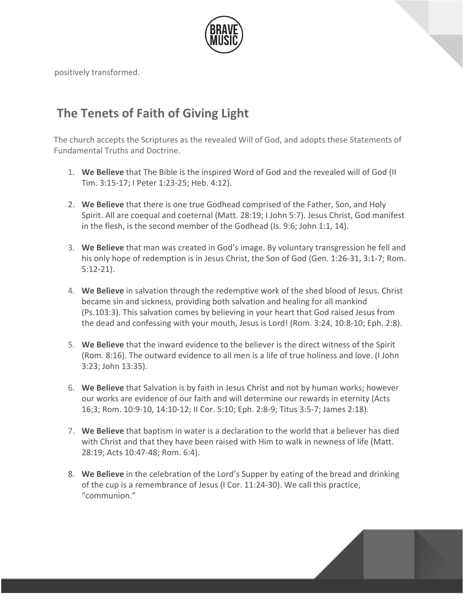

positively transformed.

## **The Tenets of Faith of Giving Light**

The church accepts the Scriptures as the revealed Will of God, and adopts these Statements of Fundamental Truths and Doctrine.

- 1. **We Believe** that The Bible is the inspired Word of God and the revealed will of God (II Tim. 3:15-17; I Peter 1:23-25; Heb. 4:12).
- 2. **We Believe** that there is one true Godhead comprised of the Father, Son, and Holy Spirit. All are coequal and coeternal (Matt. 28:19; I John 5:7). Jesus Christ, God manifest in the flesh, is the second member of the Godhead (Is. 9:6; John 1:1, 14).
- 3. **We Believe** that man was created in God's image. By voluntary transgression he fell and his only hope of redemption is in Jesus Christ, the Son of God (Gen. 1:26-31, 3:1-7; Rom. 5:12-21).
- 4. **We Believe** in salvation through the redemptive work of the shed blood of Jesus. Christ became sin and sickness, providing both salvation and healing for all mankind (Ps.103:3). This salvation comes by believing in your heart that God raised Jesus from the dead and confessing with your mouth, Jesus is Lord! (Rom. 3:24, 10:8-10; Eph. 2:8).
- 5. **We Believe** that the inward evidence to the believer is the direct witness of the Spirit (Rom. 8:16). The outward evidence to all men is a life of true holiness and love. (I John 3:23; John 13:35).
- 6. **We Believe** that Salvation is by faith in Jesus Christ and not by human works; however our works are evidence of our faith and will determine our rewards in eternity (Acts 16;3; Rom. 10:9-10, 14:10-12; II Cor. 5:10; Eph. 2:8-9; Titus 3:5-7; James 2:18).
- 7. **We Believe** that baptism in water is a declaration to the world that a believer has died with Christ and that they have been raised with Him to walk in newness of life (Matt. 28:19; Acts 10:47-48; Rom. 6:4).
- 8. **We Believe** in the celebration of the Lord's Supper by eating of the bread and drinking of the cup is a remembrance of Jesus (I Cor. 11:24-30). We call this practice, "communion."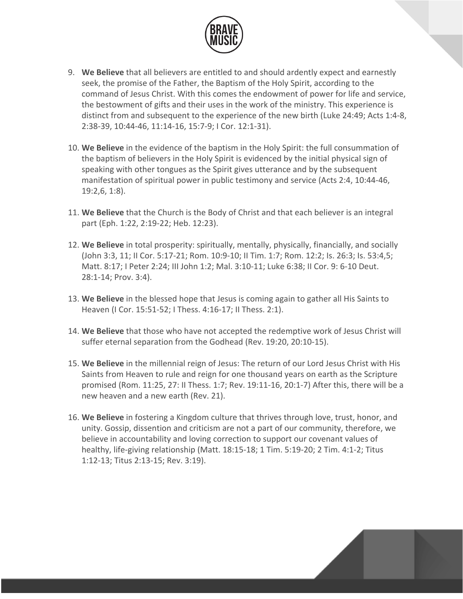

- 9. **We Believe** that all believers are entitled to and should ardently expect and earnestly seek, the promise of the Father, the Baptism of the Holy Spirit, according to the command of Jesus Christ. With this comes the endowment of power for life and service, the bestowment of gifts and their uses in the work of the ministry. This experience is distinct from and subsequent to the experience of the new birth (Luke 24:49; Acts 1:4-8, 2:38-39, 10:44-46, 11:14-16, 15:7-9; I Cor. 12:1-31).
- 10. **We Believe** in the evidence of the baptism in the Holy Spirit: the full consummation of the baptism of believers in the Holy Spirit is evidenced by the initial physical sign of speaking with other tongues as the Spirit gives utterance and by the subsequent manifestation of spiritual power in public testimony and service (Acts 2:4, 10:44-46, 19:2,6, 1:8).
- 11. **We Believe** that the Church is the Body of Christ and that each believer is an integral part (Eph. 1:22, 2:19-22; Heb. 12:23).
- 12. **We Believe** in total prosperity: spiritually, mentally, physically, financially, and socially (John 3:3, 11; II Cor. 5:17-21; Rom. 10:9-10; II Tim. 1:7; Rom. 12:2; Is. 26:3; Is. 53:4,5; Matt. 8:17; I Peter 2:24; III John 1:2; Mal. 3:10-11; Luke 6:38; II Cor. 9: 6-10 Deut. 28:1-14; Prov. 3:4).
- 13. **We Believe** in the blessed hope that Jesus is coming again to gather all His Saints to Heaven (I Cor. 15:51-52; I Thess. 4:16-17; II Thess. 2:1).
- 14. **We Believe** that those who have not accepted the redemptive work of Jesus Christ will suffer eternal separation from the Godhead (Rev. 19:20, 20:10-15).
- 15. **We Believe** in the millennial reign of Jesus: The return of our Lord Jesus Christ with His Saints from Heaven to rule and reign for one thousand years on earth as the Scripture promised (Rom. 11:25, 27: II Thess. 1:7; Rev. 19:11-16, 20:1-7) After this, there will be a new heaven and a new earth (Rev. 21).
- 16. **We Believe** in fostering a Kingdom culture that thrives through love, trust, honor, and unity. Gossip, dissention and criticism are not a part of our community, therefore, we believe in accountability and loving correction to support our covenant values of healthy, life-giving relationship (Matt. 18:15-18; 1 Tim. 5:19-20; 2 Tim. 4:1-2; Titus 1:12-13; Titus 2:13-15; Rev. 3:19).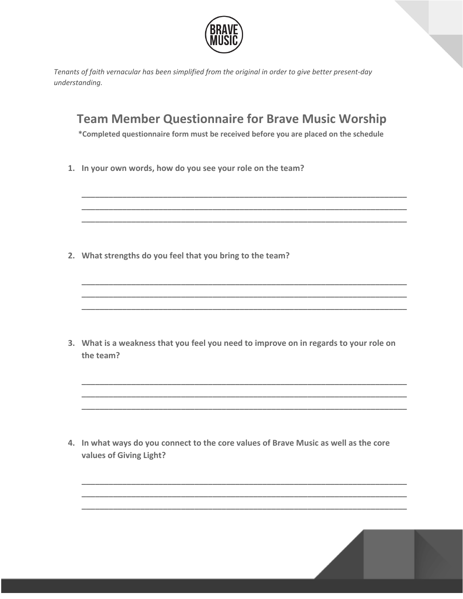

*Tenants of faith vernacular has been simplified from the original in order to give better present-day understanding.*

### **Team Member Questionnaire for Brave Music Worship**

**\*Completed questionnaire form must be received before you are placed on the schedule**

**\_\_\_\_\_\_\_\_\_\_\_\_\_\_\_\_\_\_\_\_\_\_\_\_\_\_\_\_\_\_\_\_\_\_\_\_\_\_\_\_\_\_\_\_\_\_\_\_\_\_\_\_\_\_\_\_\_\_\_\_\_\_\_\_\_\_\_\_\_\_\_\_ \_\_\_\_\_\_\_\_\_\_\_\_\_\_\_\_\_\_\_\_\_\_\_\_\_\_\_\_\_\_\_\_\_\_\_\_\_\_\_\_\_\_\_\_\_\_\_\_\_\_\_\_\_\_\_\_\_\_\_\_\_\_\_\_\_\_\_\_\_\_\_\_ \_\_\_\_\_\_\_\_\_\_\_\_\_\_\_\_\_\_\_\_\_\_\_\_\_\_\_\_\_\_\_\_\_\_\_\_\_\_\_\_\_\_\_\_\_\_\_\_\_\_\_\_\_\_\_\_\_\_\_\_\_\_\_\_\_\_\_\_\_\_\_\_**

**\_\_\_\_\_\_\_\_\_\_\_\_\_\_\_\_\_\_\_\_\_\_\_\_\_\_\_\_\_\_\_\_\_\_\_\_\_\_\_\_\_\_\_\_\_\_\_\_\_\_\_\_\_\_\_\_\_\_\_\_\_\_\_\_\_\_\_\_\_\_\_\_ \_\_\_\_\_\_\_\_\_\_\_\_\_\_\_\_\_\_\_\_\_\_\_\_\_\_\_\_\_\_\_\_\_\_\_\_\_\_\_\_\_\_\_\_\_\_\_\_\_\_\_\_\_\_\_\_\_\_\_\_\_\_\_\_\_\_\_\_\_\_\_\_ \_\_\_\_\_\_\_\_\_\_\_\_\_\_\_\_\_\_\_\_\_\_\_\_\_\_\_\_\_\_\_\_\_\_\_\_\_\_\_\_\_\_\_\_\_\_\_\_\_\_\_\_\_\_\_\_\_\_\_\_\_\_\_\_\_\_\_\_\_\_\_\_**

**1. In your own words, how do you see your role on the team?**

**2. What strengths do you feel that you bring to the team?**

**3. What is a weakness that you feel you need to improve on in regards to your role on the team?**

**\_\_\_\_\_\_\_\_\_\_\_\_\_\_\_\_\_\_\_\_\_\_\_\_\_\_\_\_\_\_\_\_\_\_\_\_\_\_\_\_\_\_\_\_\_\_\_\_\_\_\_\_\_\_\_\_\_\_\_\_\_\_\_\_\_\_\_\_\_\_\_\_ \_\_\_\_\_\_\_\_\_\_\_\_\_\_\_\_\_\_\_\_\_\_\_\_\_\_\_\_\_\_\_\_\_\_\_\_\_\_\_\_\_\_\_\_\_\_\_\_\_\_\_\_\_\_\_\_\_\_\_\_\_\_\_\_\_\_\_\_\_\_\_\_ \_\_\_\_\_\_\_\_\_\_\_\_\_\_\_\_\_\_\_\_\_\_\_\_\_\_\_\_\_\_\_\_\_\_\_\_\_\_\_\_\_\_\_\_\_\_\_\_\_\_\_\_\_\_\_\_\_\_\_\_\_\_\_\_\_\_\_\_\_\_\_\_**

**\_\_\_\_\_\_\_\_\_\_\_\_\_\_\_\_\_\_\_\_\_\_\_\_\_\_\_\_\_\_\_\_\_\_\_\_\_\_\_\_\_\_\_\_\_\_\_\_\_\_\_\_\_\_\_\_\_\_\_\_\_\_\_\_\_\_\_\_\_\_\_\_ \_\_\_\_\_\_\_\_\_\_\_\_\_\_\_\_\_\_\_\_\_\_\_\_\_\_\_\_\_\_\_\_\_\_\_\_\_\_\_\_\_\_\_\_\_\_\_\_\_\_\_\_\_\_\_\_\_\_\_\_\_\_\_\_\_\_\_\_\_\_\_\_ \_\_\_\_\_\_\_\_\_\_\_\_\_\_\_\_\_\_\_\_\_\_\_\_\_\_\_\_\_\_\_\_\_\_\_\_\_\_\_\_\_\_\_\_\_\_\_\_\_\_\_\_\_\_\_\_\_\_\_\_\_\_\_\_\_\_\_\_\_\_\_\_**

**4. In what ways do you connect to the core values of Brave Music as well as the core values of Giving Light?**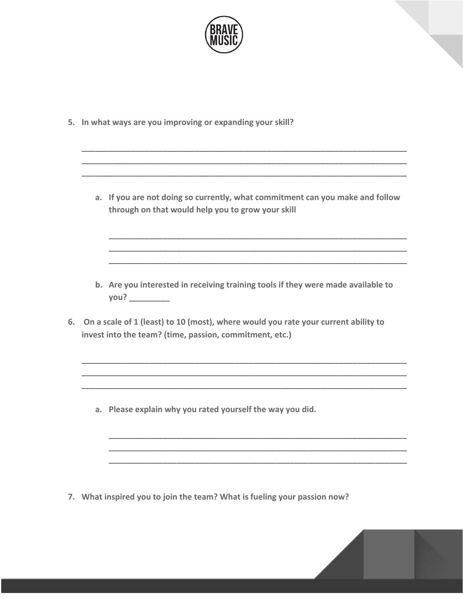

**5. In what ways are you improving or expanding your skill?**

**a. If you are not doing so currently, what commitment can you make and follow through on that would help you to grow your skill**

**\_\_\_\_\_\_\_\_\_\_\_\_\_\_\_\_\_\_\_\_\_\_\_\_\_\_\_\_\_\_\_\_\_\_\_\_\_\_\_\_\_\_\_\_\_\_\_\_\_\_\_\_\_\_\_\_\_\_\_\_\_\_\_\_\_\_ \_\_\_\_\_\_\_\_\_\_\_\_\_\_\_\_\_\_\_\_\_\_\_\_\_\_\_\_\_\_\_\_\_\_\_\_\_\_\_\_\_\_\_\_\_\_\_\_\_\_\_\_\_\_\_\_\_\_\_\_\_\_\_\_\_\_ \_\_\_\_\_\_\_\_\_\_\_\_\_\_\_\_\_\_\_\_\_\_\_\_\_\_\_\_\_\_\_\_\_\_\_\_\_\_\_\_\_\_\_\_\_\_\_\_\_\_\_\_\_\_\_\_\_\_\_\_\_\_\_\_\_\_**

**\_\_\_\_\_\_\_\_\_\_\_\_\_\_\_\_\_\_\_\_\_\_\_\_\_\_\_\_\_\_\_\_\_\_\_\_\_\_\_\_\_\_\_\_\_\_\_\_\_\_\_\_\_\_\_\_\_\_\_\_\_\_\_\_\_\_\_\_\_\_\_\_ \_\_\_\_\_\_\_\_\_\_\_\_\_\_\_\_\_\_\_\_\_\_\_\_\_\_\_\_\_\_\_\_\_\_\_\_\_\_\_\_\_\_\_\_\_\_\_\_\_\_\_\_\_\_\_\_\_\_\_\_\_\_\_\_\_\_\_\_\_\_\_\_ \_\_\_\_\_\_\_\_\_\_\_\_\_\_\_\_\_\_\_\_\_\_\_\_\_\_\_\_\_\_\_\_\_\_\_\_\_\_\_\_\_\_\_\_\_\_\_\_\_\_\_\_\_\_\_\_\_\_\_\_\_\_\_\_\_\_\_\_\_\_\_\_**

**b. Are you interested in receiving training tools if they were made available to you? \_\_\_\_\_\_\_\_\_**

**\_\_\_\_\_\_\_\_\_\_\_\_\_\_\_\_\_\_\_\_\_\_\_\_\_\_\_\_\_\_\_\_\_\_\_\_\_\_\_\_\_\_\_\_\_\_\_\_\_\_\_\_\_\_\_\_\_\_\_\_\_\_\_\_\_\_\_\_\_\_\_\_ \_\_\_\_\_\_\_\_\_\_\_\_\_\_\_\_\_\_\_\_\_\_\_\_\_\_\_\_\_\_\_\_\_\_\_\_\_\_\_\_\_\_\_\_\_\_\_\_\_\_\_\_\_\_\_\_\_\_\_\_\_\_\_\_\_\_\_\_\_\_\_\_ \_\_\_\_\_\_\_\_\_\_\_\_\_\_\_\_\_\_\_\_\_\_\_\_\_\_\_\_\_\_\_\_\_\_\_\_\_\_\_\_\_\_\_\_\_\_\_\_\_\_\_\_\_\_\_\_\_\_\_\_\_\_\_\_\_\_\_\_\_\_\_\_**

**\_\_\_\_\_\_\_\_\_\_\_\_\_\_\_\_\_\_\_\_\_\_\_\_\_\_\_\_\_\_\_\_\_\_\_\_\_\_\_\_\_\_\_\_\_\_\_\_\_\_\_\_\_\_\_\_\_\_\_\_\_\_\_\_\_\_ \_\_\_\_\_\_\_\_\_\_\_\_\_\_\_\_\_\_\_\_\_\_\_\_\_\_\_\_\_\_\_\_\_\_\_\_\_\_\_\_\_\_\_\_\_\_\_\_\_\_\_\_\_\_\_\_\_\_\_\_\_\_\_\_\_\_ \_\_\_\_\_\_\_\_\_\_\_\_\_\_\_\_\_\_\_\_\_\_\_\_\_\_\_\_\_\_\_\_\_\_\_\_\_\_\_\_\_\_\_\_\_\_\_\_\_\_\_\_\_\_\_\_\_\_\_\_\_\_\_\_\_\_**

**6. On a scale of 1 (least) to 10 (most), where would you rate your current ability to invest into the team? (time, passion, commitment, etc.)**

**a. Please explain why you rated yourself the way you did.**

**7. What inspired you to join the team? What is fueling your passion now?**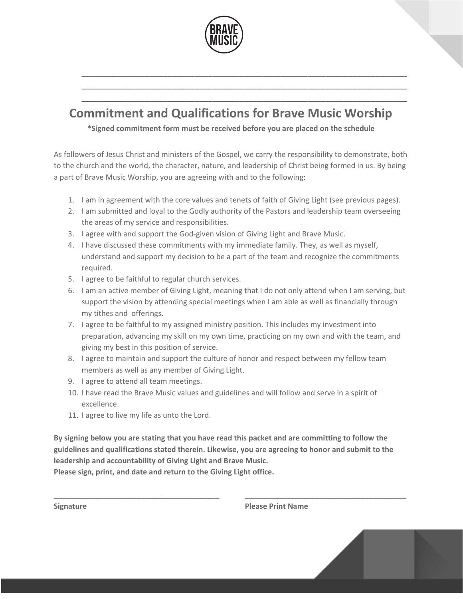

## **Commitment and Qualifications for Brave Music Worship**

**\_\_\_\_\_\_\_\_\_\_\_\_\_\_\_\_\_\_\_\_\_\_\_\_\_\_\_\_\_\_\_\_\_\_\_\_\_\_\_\_\_\_\_\_\_\_\_\_\_\_\_\_\_\_\_\_\_\_\_\_\_\_\_\_\_\_\_\_\_\_\_\_ \_\_\_\_\_\_\_\_\_\_\_\_\_\_\_\_\_\_\_\_\_\_\_\_\_\_\_\_\_\_\_\_\_\_\_\_\_\_\_\_\_\_\_\_\_\_\_\_\_\_\_\_\_\_\_\_\_\_\_\_\_\_\_\_\_\_\_\_\_\_\_\_ \_\_\_\_\_\_\_\_\_\_\_\_\_\_\_\_\_\_\_\_\_\_\_\_\_\_\_\_\_\_\_\_\_\_\_\_\_\_\_\_\_\_\_\_\_\_\_\_\_\_\_\_\_\_\_\_\_\_\_\_\_\_\_\_\_\_\_\_\_\_\_\_**

**\*Signed commitment form must be received before you are placed on the schedule**

As followers of Jesus Christ and ministers of the Gospel, we carry the responsibility to demonstrate, both to the church and the world, the character, nature, and leadership of Christ being formed in us. By being a part of Brave Music Worship, you are agreeing with and to the following:

- 1. I am in agreement with the core values and tenets of faith of Giving Light (see previous pages).
- 2. I am submitted and loyal to the Godly authority of the Pastors and leadership team overseeing the areas of my service and responsibilities.
- 3. I agree with and support the God-given vision of Giving Light and Brave Music.
- 4. I have discussed these commitments with my immediate family. They, as well as myself, understand and support my decision to be a part of the team and recognize the commitments required.
- 5. I agree to be faithful to regular church services.
- 6. I am an active member of Giving Light, meaning that I do not only attend when I am serving, but support the vision by attending special meetings when I am able as well as financially through my tithes and offerings.
- 7. I agree to be faithful to my assigned ministry position. This includes my investment into preparation, advancing my skill on my own time, practicing on my own and with the team, and giving my best in this position of service.
- 8. I agree to maintain and support the culture of honor and respect between my fellow team members as well as any member of Giving Light.
- 9. I agree to attend all team meetings.
- 10. I have read the Brave Music values and guidelines and will follow and serve in a spirit of excellence.
- 11. I agree to live my life as unto the Lord.

**By signing below you are stating that you have read this packet and are committing to follow the guidelines and qualifications stated therein. Likewise, you are agreeing to honor and submit to the leadership and accountability of Giving Light and Brave Music.**

**\_\_\_\_\_\_\_\_\_\_\_\_\_\_\_\_\_\_\_\_\_\_\_\_\_\_\_\_\_\_\_\_\_\_\_\_\_\_\_\_ \_\_\_\_\_\_\_\_\_\_\_\_\_\_\_\_\_\_\_\_\_\_\_\_\_\_\_\_\_\_\_\_\_\_\_\_\_\_\_**

**Please sign, print, and date and return to the Giving Light office.**

**Signature Please Print Name**